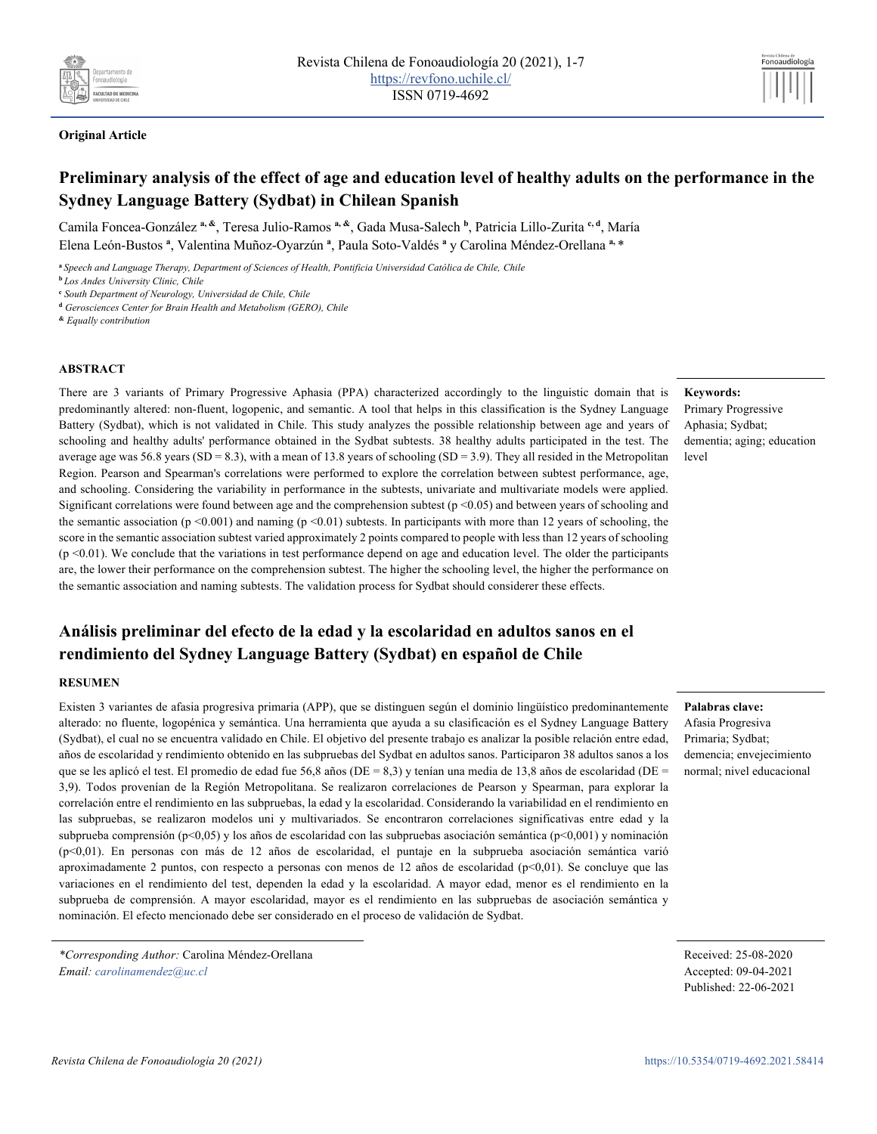

## **Original Article**

# **Preliminary analysis of the effect of age and education level of healthy adults on the performance in the Sydney Language Battery (Sydbat) in Chilean Spanish**

Camila Foncea-González **a, &**, Teresa Julio-Ramos **a, &**, Gada Musa-Salech **<sup>b</sup>** , Patricia Lillo-Zurita **c, d**, María Elena León-Bustos **<sup>a</sup>** , Valentina Muñoz-Oyarzún **<sup>a</sup>** , Paula Soto-Valdés **<sup>a</sup>** y Carolina Méndez-Orellana **a,** \*

**<sup>a</sup>***Speech and Language Therapy, Department of Sciences of Health, Pontificia Universidad Católica de Chile, Chile*

**<sup>b</sup>***Los Andes University Clinic, Chile*

**<sup>c</sup>** *South Department of Neurology, Universidad de Chile, Chile*

**<sup>d</sup>** *Gerosciences Center for Brain Health and Metabolism (GERO), Chile*

**&** *Equally contribution*

#### **ABSTRACT**

There are 3 variants of Primary Progressive Aphasia (PPA) characterized accordingly to the linguistic domain that is predominantly altered: non-fluent, logopenic, and semantic. A tool that helps in this classification is the Sydney Language Battery (Sydbat), which is not validated in Chile. This study analyzes the possible relationship between age and years of schooling and healthy adults' performance obtained in the Sydbat subtests. 38 healthy adults participated in the test. The average age was 56.8 years (SD = 8.3), with a mean of 13.8 years of schooling (SD = 3.9). They all resided in the Metropolitan Region. Pearson and Spearman's correlations were performed to explore the correlation between subtest performance, age, and schooling. Considering the variability in performance in the subtests, univariate and multivariate models were applied. Significant correlations were found between age and the comprehension subtest ( $p \le 0.05$ ) and between years of schooling and the semantic association ( $p \le 0.001$ ) and naming ( $p \le 0.01$ ) subtests. In participants with more than 12 years of schooling, the score in the semantic association subtest varied approximately 2 points compared to people with less than 12 years of schooling  $(p \le 0.01)$ . We conclude that the variations in test performance depend on age and education level. The older the participants are, the lower their performance on the comprehension subtest. The higher the schooling level, the higher the performance on the semantic association and naming subtests. The validation process for Sydbat should considerer these effects.

# **Análisis preliminar del efecto de la edad y la escolaridad en adultos sanos en el rendimiento del Sydney Language Battery (Sydbat) en español de Chile**

### **RESUMEN**

Existen 3 variantes de afasia progresiva primaria (APP), que se distinguen según el dominio lingüístico predominantemente alterado: no fluente, logopénica y semántica. Una herramienta que ayuda a su clasificación es el Sydney Language Battery (Sydbat), el cual no se encuentra validado en Chile. El objetivo del presente trabajo es analizar la posible relación entre edad, años de escolaridad y rendimiento obtenido en las subpruebas del Sydbat en adultos sanos. Participaron 38 adultos sanos a los que se les aplicó el test. El promedio de edad fue 56,8 años (DE = 8,3) y tenían una media de 13,8 años de escolaridad (DE = 3,9). Todos provenían de la Región Metropolitana. Se realizaron correlaciones de Pearson y Spearman, para explorar la correlación entre el rendimiento en las subpruebas, la edad y la escolaridad. Considerando la variabilidad en el rendimiento en las subpruebas, se realizaron modelos uni y multivariados. Se encontraron correlaciones significativas entre edad y la subprueba comprensión (p<0,05) y los años de escolaridad con las subpruebas asociación semántica (p<0,001) y nominación (p<0,01). En personas con más de 12 años de escolaridad, el puntaje en la subprueba asociación semántica varió aproximadamente 2 puntos, con respecto a personas con menos de 12 años de escolaridad (p<0,01). Se concluye que las variaciones en el rendimiento del test, dependen la edad y la escolaridad. A mayor edad, menor es el rendimiento en la subprueba de comprensión. A mayor escolaridad, mayor es el rendimiento en las subpruebas de asociación semántica y nominación. El efecto mencionado debe ser considerado en el proceso de validación de Sydbat.

#### **Keywords:**

Primary Progressive Aphasia; Sydbat; dementia; aging; education level

Fonoaudiología

# **Palabras clave:**

Afasia Progresiva Primaria; Sydbat; demencia; envejecimiento normal; nivel educacional

*<sup>\*</sup>Corresponding Author:* Carolina Méndez-Orellana *Email: carolinamendez@uc.cl*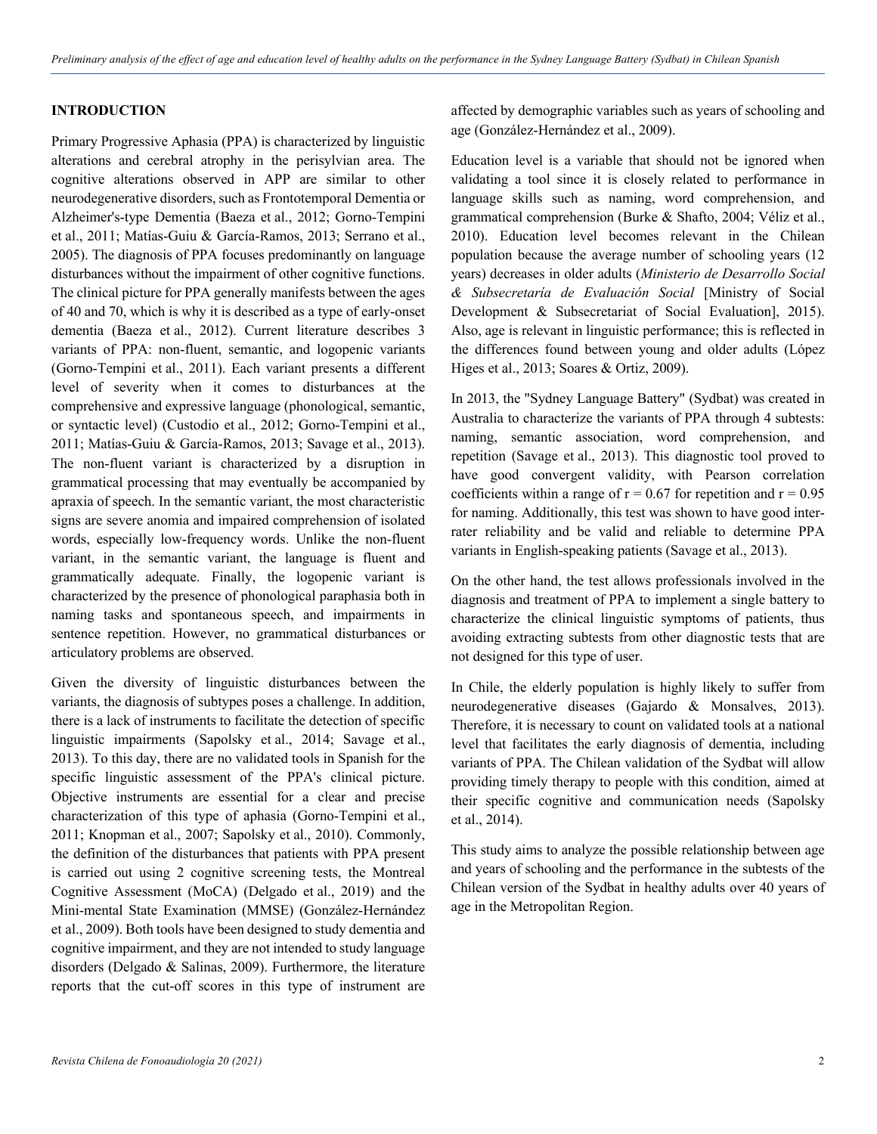# **INTRODUCTION**

Primary Progressive Aphasia (PPA) is characterized by linguistic alterations and cerebral atrophy in the perisylvian area. The cognitive alterations observed in APP are similar to other neurodegenerative disorders, such as Frontotemporal Dementia or Alzheimer's-type Dementia (Baeza et al., 2012; Gorno-Tempini et al., 2011; Matías-Guiu & García-Ramos, 2013; Serrano et al., 2005). The diagnosis of PPA focuses predominantly on language disturbances without the impairment of other cognitive functions. The clinical picture for PPA generally manifests between the ages of 40 and 70, which is why it is described as a type of early-onset dementia (Baeza et al., 2012). Current literature describes 3 variants of PPA: non-fluent, semantic, and logopenic variants (Gorno-Tempini et al., 2011). Each variant presents a different level of severity when it comes to disturbances at the comprehensive and expressive language (phonological, semantic, or syntactic level) (Custodio et al., 2012; Gorno-Tempini et al., 2011; Matías-Guiu & García-Ramos, 2013; Savage et al., 2013). The non-fluent variant is characterized by a disruption in grammatical processing that may eventually be accompanied by apraxia of speech. In the semantic variant, the most characteristic signs are severe anomia and impaired comprehension of isolated words, especially low-frequency words. Unlike the non-fluent variant, in the semantic variant, the language is fluent and grammatically adequate. Finally, the logopenic variant is characterized by the presence of phonological paraphasia both in naming tasks and spontaneous speech, and impairments in sentence repetition. However, no grammatical disturbances or articulatory problems are observed.

Given the diversity of linguistic disturbances between the variants, the diagnosis of subtypes poses a challenge. In addition, there is a lack of instruments to facilitate the detection of specific linguistic impairments (Sapolsky et al., 2014; Savage et al., 2013). To this day, there are no validated tools in Spanish for the specific linguistic assessment of the PPA's clinical picture. Objective instruments are essential for a clear and precise characterization of this type of aphasia (Gorno-Tempini et al., 2011; Knopman et al., 2007; Sapolsky et al., 2010). Commonly, the definition of the disturbances that patients with PPA present is carried out using 2 cognitive screening tests, the Montreal Cognitive Assessment (MoCA) (Delgado et al., 2019) and the Mini-mental State Examination (MMSE) (González-Hernández et al., 2009). Both tools have been designed to study dementia and cognitive impairment, and they are not intended to study language disorders (Delgado & Salinas, 2009). Furthermore, the literature reports that the cut-off scores in this type of instrument are

affected by demographic variables such as years of schooling and age (González-Hernández et al., 2009).

Education level is a variable that should not be ignored when validating a tool since it is closely related to performance in language skills such as naming, word comprehension, and grammatical comprehension (Burke & Shafto, 2004; Véliz et al., 2010). Education level becomes relevant in the Chilean population because the average number of schooling years (12 years) decreases in older adults (*Ministerio de Desarrollo Social & Subsecretaría de Evaluación Social* [Ministry of Social Development & Subsecretariat of Social Evaluation], 2015). Also, age is relevant in linguistic performance; this is reflected in the differences found between young and older adults (López Higes et al., 2013; Soares & Ortiz, 2009).

In 2013, the "Sydney Language Battery" (Sydbat) was created in Australia to characterize the variants of PPA through 4 subtests: naming, semantic association, word comprehension, and repetition (Savage et al., 2013). This diagnostic tool proved to have good convergent validity, with Pearson correlation coefficients within a range of  $r = 0.67$  for repetition and  $r = 0.95$ for naming. Additionally, this test was shown to have good interrater reliability and be valid and reliable to determine PPA variants in English-speaking patients (Savage et al., 2013).

On the other hand, the test allows professionals involved in the diagnosis and treatment of PPA to implement a single battery to characterize the clinical linguistic symptoms of patients, thus avoiding extracting subtests from other diagnostic tests that are not designed for this type of user.

In Chile, the elderly population is highly likely to suffer from neurodegenerative diseases (Gajardo & Monsalves, 2013). Therefore, it is necessary to count on validated tools at a national level that facilitates the early diagnosis of dementia, including variants of PPA. The Chilean validation of the Sydbat will allow providing timely therapy to people with this condition, aimed at their specific cognitive and communication needs (Sapolsky et al., 2014).

This study aims to analyze the possible relationship between age and years of schooling and the performance in the subtests of the Chilean version of the Sydbat in healthy adults over 40 years of age in the Metropolitan Region.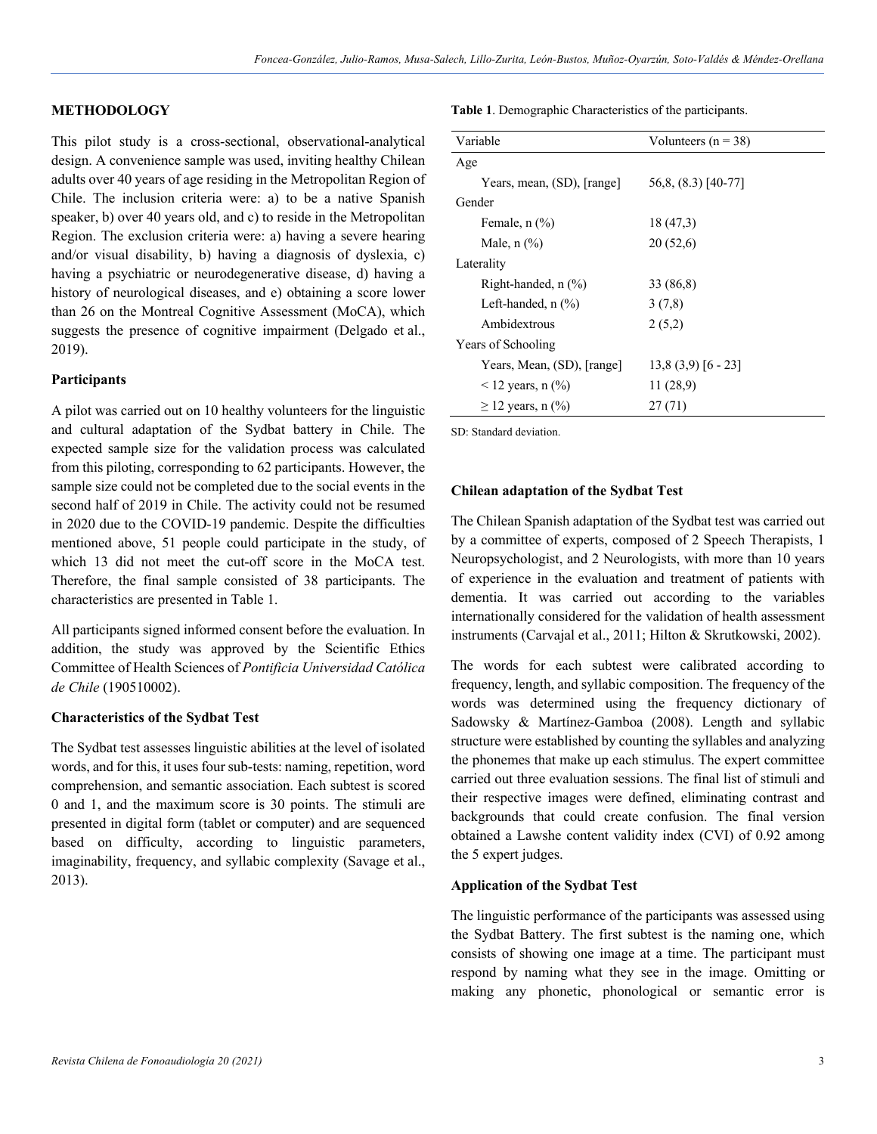# **METHODOLOGY**

This pilot study is a cross-sectional, observational-analytical design. A convenience sample was used, inviting healthy Chilean adults over 40 years of age residing in the Metropolitan Region of Chile. The inclusion criteria were: a) to be a native Spanish speaker, b) over 40 years old, and c) to reside in the Metropolitan Region. The exclusion criteria were: a) having a severe hearing and/or visual disability, b) having a diagnosis of dyslexia, c) having a psychiatric or neurodegenerative disease, d) having a history of neurological diseases, and e) obtaining a score lower than 26 on the Montreal Cognitive Assessment (MoCA), which suggests the presence of cognitive impairment (Delgado et al., 2019).

## **Participants**

A pilot was carried out on 10 healthy volunteers for the linguistic and cultural adaptation of the Sydbat battery in Chile. The expected sample size for the validation process was calculated from this piloting, corresponding to 62 participants. However, the sample size could not be completed due to the social events in the second half of 2019 in Chile. The activity could not be resumed in 2020 due to the COVID-19 pandemic. Despite the difficulties mentioned above, 51 people could participate in the study, of which 13 did not meet the cut-off score in the MoCA test. Therefore, the final sample consisted of 38 participants. The characteristics are presented in Table 1.

All participants signed informed consent before the evaluation. In addition, the study was approved by the Scientific Ethics Committee of Health Sciences of *Pontificia Universidad Católica de Chile* (190510002).

### **Characteristics of the Sydbat Test**

The Sydbat test assesses linguistic abilities at the level of isolated words, and for this, it uses four sub-tests: naming, repetition, word comprehension, and semantic association. Each subtest is scored 0 and 1, and the maximum score is 30 points. The stimuli are presented in digital form (tablet or computer) and are sequenced based on difficulty, according to linguistic parameters, imaginability, frequency, and syllabic complexity (Savage et al., 2013).

**Table 1**. Demographic Characteristics of the participants.

| Variable                                   | Volunteers ( $n = 38$ ) |  |  |  |  |
|--------------------------------------------|-------------------------|--|--|--|--|
| Age                                        |                         |  |  |  |  |
| Years, mean, (SD), [range]                 | 56,8, (8.3) [40-77]     |  |  |  |  |
| Gender                                     |                         |  |  |  |  |
| Female, $n$ $(\%)$                         | 18 (47,3)               |  |  |  |  |
| Male, $n$ $\left(\frac{9}{6}\right)$       | 20(52,6)                |  |  |  |  |
| Laterality                                 |                         |  |  |  |  |
| Right-handed, $n$ $(\%)$                   | 33 (86.8)               |  |  |  |  |
| Left-handed, $n$ $(\%)$                    | 3(7,8)                  |  |  |  |  |
| Ambidextrous                               | 2(5,2)                  |  |  |  |  |
| Years of Schooling                         |                         |  |  |  |  |
| Years, Mean, (SD), [range]                 | $13,8(3,9)$ [6 - 23]    |  |  |  |  |
| $<$ 12 years, n $\left(\frac{9}{0}\right)$ | 11 (28,9)               |  |  |  |  |
| $\geq$ 12 years, n (%)                     | 27(71)                  |  |  |  |  |

SD: Standard deviation.

#### **Chilean adaptation of the Sydbat Test**

The Chilean Spanish adaptation of the Sydbat test was carried out by a committee of experts, composed of 2 Speech Therapists, 1 Neuropsychologist, and 2 Neurologists, with more than 10 years of experience in the evaluation and treatment of patients with dementia. It was carried out according to the variables internationally considered for the validation of health assessment instruments (Carvajal et al., 2011; Hilton & Skrutkowski, 2002).

The words for each subtest were calibrated according to frequency, length, and syllabic composition. The frequency of the words was determined using the frequency dictionary of Sadowsky & Martínez-Gamboa (2008). Length and syllabic structure were established by counting the syllables and analyzing the phonemes that make up each stimulus. The expert committee carried out three evaluation sessions. The final list of stimuli and their respective images were defined, eliminating contrast and backgrounds that could create confusion. The final version obtained a Lawshe content validity index (CVI) of 0.92 among the 5 expert judges.

## **Application of the Sydbat Test**

The linguistic performance of the participants was assessed using the Sydbat Battery. The first subtest is the naming one, which consists of showing one image at a time. The participant must respond by naming what they see in the image. Omitting or making any phonetic, phonological or semantic error is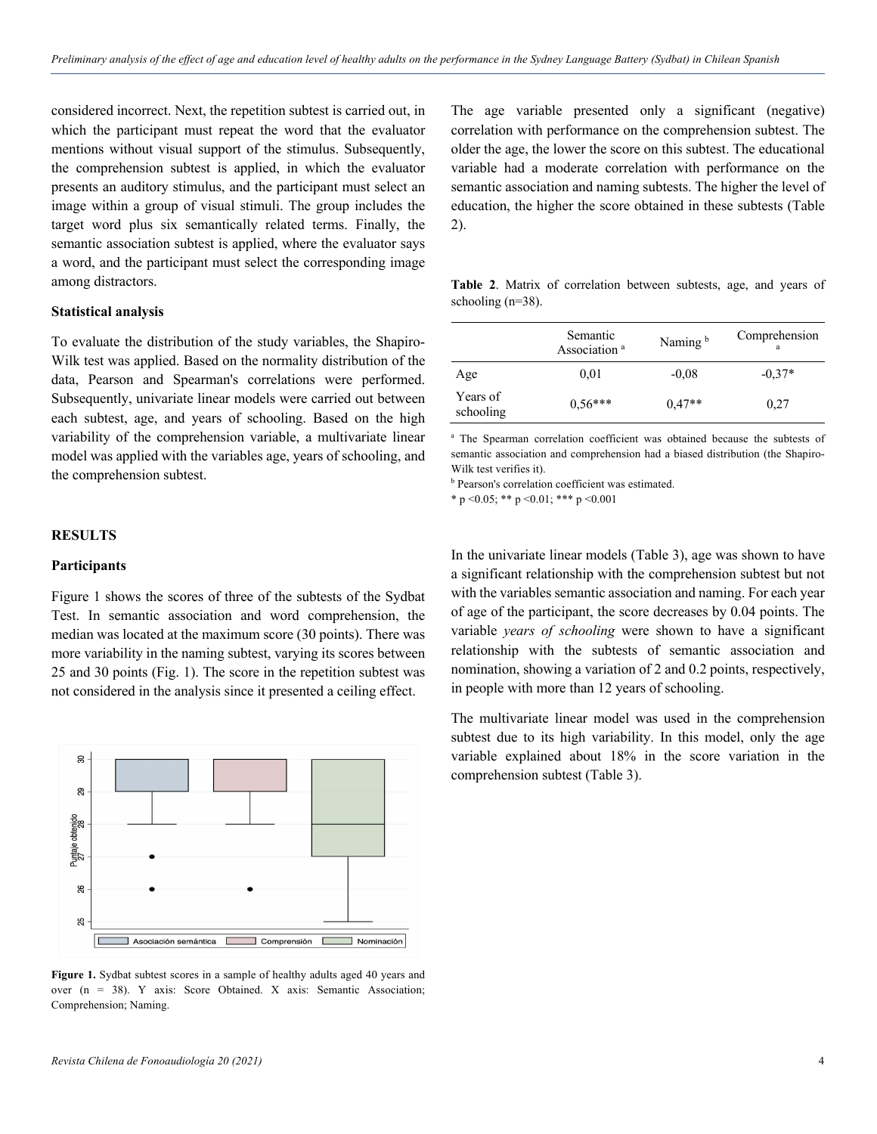considered incorrect. Next, the repetition subtest is carried out, in which the participant must repeat the word that the evaluator mentions without visual support of the stimulus. Subsequently, the comprehension subtest is applied, in which the evaluator presents an auditory stimulus, and the participant must select an image within a group of visual stimuli. The group includes the target word plus six semantically related terms. Finally, the semantic association subtest is applied, where the evaluator says a word, and the participant must select the corresponding image among distractors.

## **Statistical analysis**

To evaluate the distribution of the study variables, the Shapiro-Wilk test was applied. Based on the normality distribution of the data, Pearson and Spearman's correlations were performed. Subsequently, univariate linear models were carried out between each subtest, age, and years of schooling. Based on the high variability of the comprehension variable, a multivariate linear model was applied with the variables age, years of schooling, and the comprehension subtest.

## **RESULTS**

#### **Participants**

Figure 1 shows the scores of three of the subtests of the Sydbat Test. In semantic association and word comprehension, the median was located at the maximum score (30 points). There was more variability in the naming subtest, varying its scores between 25 and 30 points (Fig. 1). The score in the repetition subtest was not considered in the analysis since it presented a ceiling effect.



**Figure 1.** Sydbat subtest scores in a sample of healthy adults aged 40 years and over (n = 38). Y axis: Score Obtained. X axis: Semantic Association; Comprehension; Naming.

The age variable presented only a significant (negative) correlation with performance on the comprehension subtest. The older the age, the lower the score on this subtest. The educational variable had a moderate correlation with performance on the semantic association and naming subtests. The higher the level of education, the higher the score obtained in these subtests (Table 2).

**Table 2**. Matrix of correlation between subtests, age, and years of schooling  $(n=38)$ .

|                       | Semantic<br>Association <sup>a</sup> | Naming <sup>b</sup> | Comprehension<br>a |  |
|-----------------------|--------------------------------------|---------------------|--------------------|--|
| Age                   | 0,01                                 | $-0.08$             | $-0.37*$           |  |
| Years of<br>schooling | $0,56***$                            | $0,47**$            | 0,27               |  |

<sup>a</sup> The Spearman correlation coefficient was obtained because the subtests of semantic association and comprehension had a biased distribution (the Shapiro-Wilk test verifies it).

**b** Pearson's correlation coefficient was estimated.

\* p < 0.05; \*\* p < 0.01; \*\*\* p < 0.001

In the univariate linear models (Table 3), age was shown to have a significant relationship with the comprehension subtest but not with the variables semantic association and naming. For each year of age of the participant, the score decreases by 0.04 points. The variable *years of schooling* were shown to have a significant relationship with the subtests of semantic association and nomination, showing a variation of 2 and 0.2 points, respectively, in people with more than 12 years of schooling.

The multivariate linear model was used in the comprehension subtest due to its high variability. In this model, only the age variable explained about 18% in the score variation in the comprehension subtest (Table 3).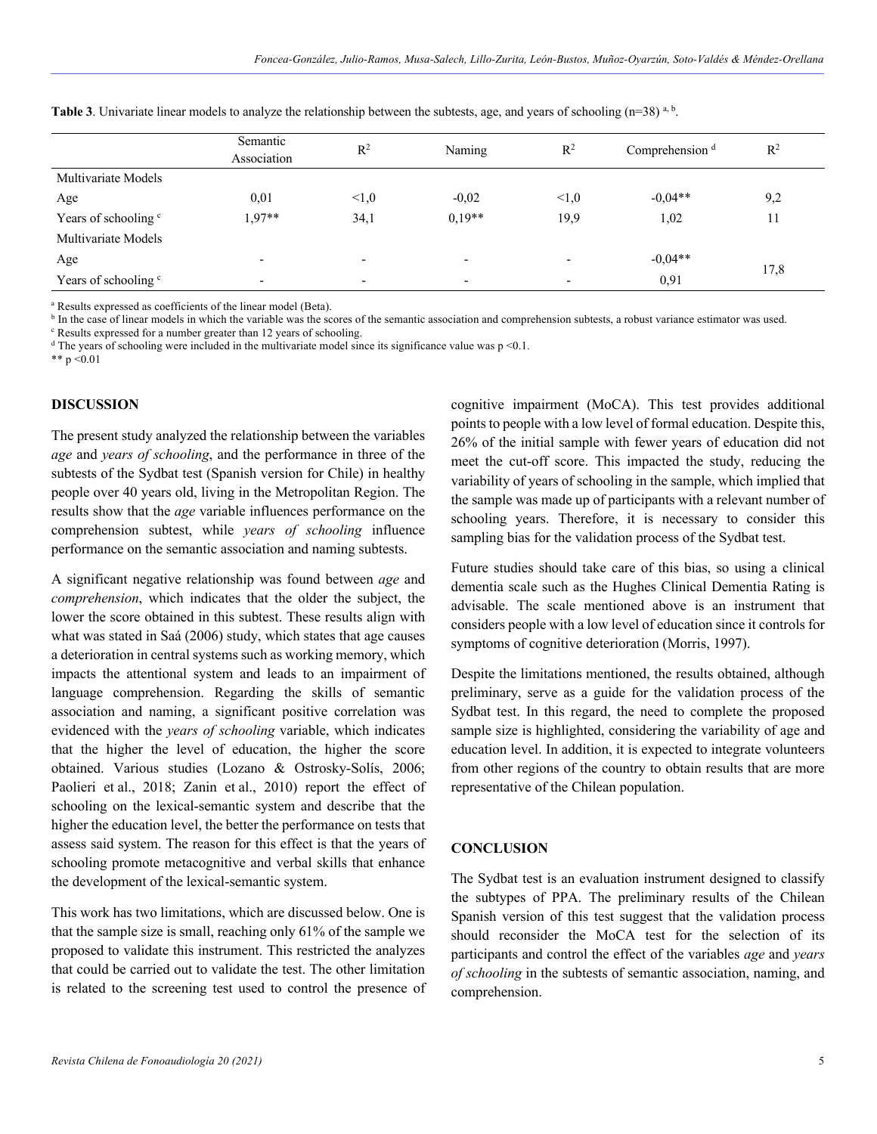|                                 | Semantic<br>Association  | $R^2$                    | Naming                   | R <sup>2</sup> | Comprehension <sup>d</sup> | $\mathbb{R}^2$ |
|---------------------------------|--------------------------|--------------------------|--------------------------|----------------|----------------------------|----------------|
| Multivariate Models             |                          |                          |                          |                |                            |                |
| Age                             | 0,01                     | < 1, 0                   | $-0.02$                  | <1,0           | $-0.04**$                  | 9,2            |
| Years of schooling <sup>c</sup> | $1,97**$                 | 34,1                     | $0,19**$                 | 19,9           | 1,02                       | 11             |
| Multivariate Models             |                          |                          |                          |                |                            |                |
| Age                             | $\overline{\phantom{0}}$ |                          |                          |                | $-0,04**$                  | 17,8           |
| Years of schooling <sup>c</sup> | $\overline{\phantom{0}}$ | $\overline{\phantom{0}}$ | $\overline{\phantom{0}}$ |                | 0,91                       |                |

**Table 3**. Univariate linear models to analyze the relationship between the subtests, age, and years of schooling (n=38)<sup>a, b</sup>.

<sup>a</sup> Results expressed as coefficients of the linear model (Beta).

<sup>b</sup> In the case of linear models in which the variable was the scores of the semantic association and comprehension subtests, a robust variance estimator was used.

<sup>c</sup> Results expressed for a number greater than 12 years of schooling.

 $d$  The years of schooling were included in the multivariate model since its significance value was p <0.1.

\*\*  $p < 0.01$ 

#### **DISCUSSION**

The present study analyzed the relationship between the variables *age* and *years of schooling*, and the performance in three of the subtests of the Sydbat test (Spanish version for Chile) in healthy people over 40 years old, living in the Metropolitan Region. The results show that the *age* variable influences performance on the comprehension subtest, while *years of schooling* influence performance on the semantic association and naming subtests.

A significant negative relationship was found between *age* and *comprehension*, which indicates that the older the subject, the lower the score obtained in this subtest. These results align with what was stated in Saá (2006) study, which states that age causes a deterioration in central systems such as working memory, which impacts the attentional system and leads to an impairment of language comprehension. Regarding the skills of semantic association and naming, a significant positive correlation was evidenced with the *years of schooling* variable, which indicates that the higher the level of education, the higher the score obtained. Various studies (Lozano & Ostrosky-Solís, 2006; Paolieri et al., 2018; Zanin et al., 2010) report the effect of schooling on the lexical-semantic system and describe that the higher the education level, the better the performance on tests that assess said system. The reason for this effect is that the years of schooling promote metacognitive and verbal skills that enhance the development of the lexical-semantic system.

This work has two limitations, which are discussed below. One is that the sample size is small, reaching only 61% of the sample we proposed to validate this instrument. This restricted the analyzes that could be carried out to validate the test. The other limitation is related to the screening test used to control the presence of cognitive impairment (MoCA). This test provides additional points to people with a low level of formal education. Despite this, 26% of the initial sample with fewer years of education did not meet the cut-off score. This impacted the study, reducing the variability of years of schooling in the sample, which implied that the sample was made up of participants with a relevant number of schooling years. Therefore, it is necessary to consider this sampling bias for the validation process of the Sydbat test.

Future studies should take care of this bias, so using a clinical dementia scale such as the Hughes Clinical Dementia Rating is advisable. The scale mentioned above is an instrument that considers people with a low level of education since it controls for symptoms of cognitive deterioration (Morris, 1997).

Despite the limitations mentioned, the results obtained, although preliminary, serve as a guide for the validation process of the Sydbat test. In this regard, the need to complete the proposed sample size is highlighted, considering the variability of age and education level. In addition, it is expected to integrate volunteers from other regions of the country to obtain results that are more representative of the Chilean population.

## **CONCLUSION**

The Sydbat test is an evaluation instrument designed to classify the subtypes of PPA. The preliminary results of the Chilean Spanish version of this test suggest that the validation process should reconsider the MoCA test for the selection of its participants and control the effect of the variables *age* and *years of schooling* in the subtests of semantic association, naming, and comprehension.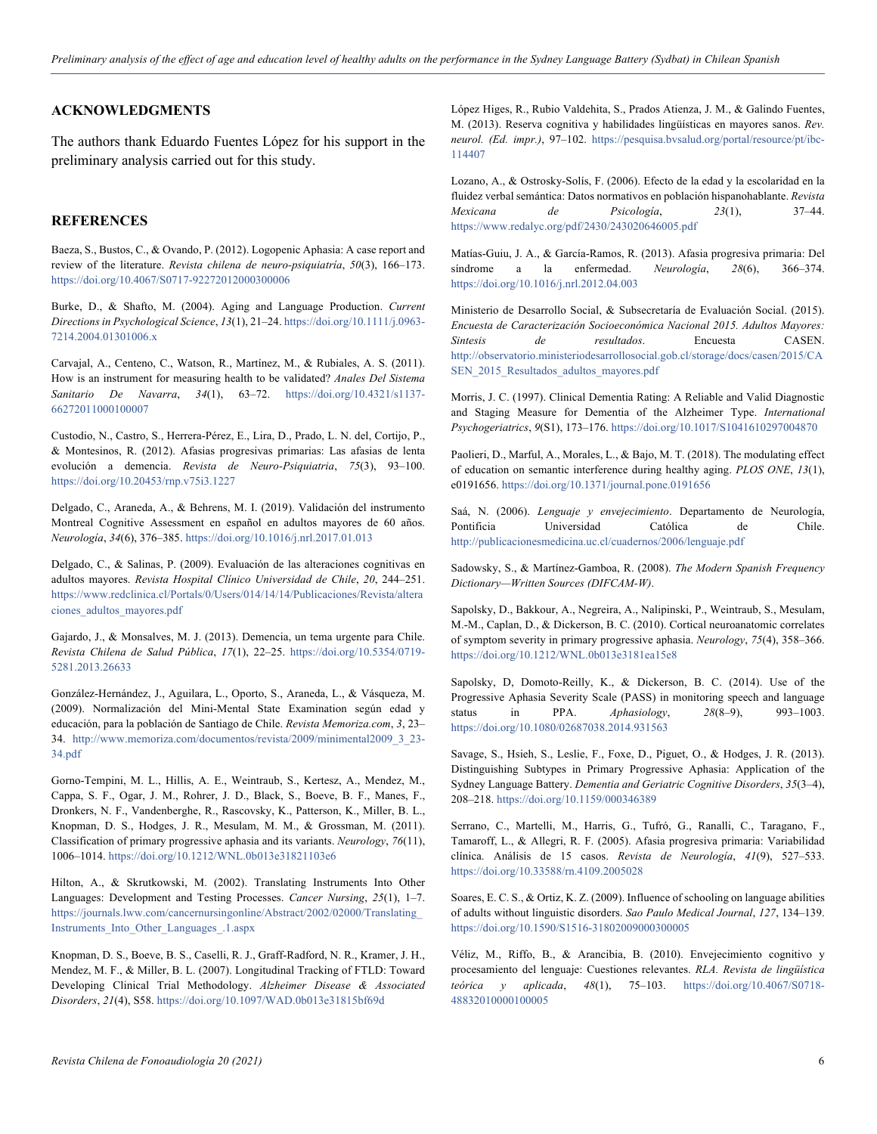## **ACKNOWLEDGMENTS**

The authors thank Eduardo Fuentes López for his support in the preliminary analysis carried out for this study.

# **REFERENCES**

Baeza, S., Bustos, C., & Ovando, P. (2012). Logopenic Aphasia: A case report and review of the literature. *Revista chilena de neuro-psiquiatría*, *50*(3), 166–173. https://doi.org/10.4067/S0717-92272012000300006

Burke, D., & Shafto, M. (2004). Aging and Language Production. *Current Directions in Psychological Science*, *13*(1), 21–24. https://doi.org/10.1111/j.0963- 7214.2004.01301006.x

Carvajal, A., Centeno, C., Watson, R., Martínez, M., & Rubiales, A. S. (2011). How is an instrument for measuring health to be validated? *Anales Del Sistema Sanitario De Navarra*, *34*(1), 63–72. https://doi.org/10.4321/s1137- 66272011000100007

Custodio, N., Castro, S., Herrera-Pérez, E., Lira, D., Prado, L. N. del, Cortijo, P., & Montesinos, R. (2012). Afasias progresivas primarias: Las afasias de lenta evolución a demencia. *Revista de Neuro-Psiquiatria*, *75*(3), 93–100. https://doi.org/10.20453/rnp.v75i3.1227

Delgado, C., Araneda, A., & Behrens, M. I. (2019). Validación del instrumento Montreal Cognitive Assessment en español en adultos mayores de 60 años. *Neurología*, *34*(6), 376–385. https://doi.org/10.1016/j.nrl.2017.01.013

Delgado, C., & Salinas, P. (2009). Evaluación de las alteraciones cognitivas en adultos mayores. *Revista Hospital Clínico Universidad de Chile*, *20*, 244–251. https://www.redclinica.cl/Portals/0/Users/014/14/14/Publicaciones/Revista/altera ciones\_adultos\_mayores.pdf

Gajardo, J., & Monsalves, M. J. (2013). Demencia, un tema urgente para Chile. *Revista Chilena de Salud Pública*, *17*(1), 22–25. https://doi.org/10.5354/0719- 5281.2013.26633

González-Hernández, J., Aguilara, L., Oporto, S., Araneda, L., & Vásqueza, M. (2009). Normalización del Mini-Mental State Examination según edad y educación, para la población de Santiago de Chile. *Revista Memoriza.com*, *3*, 23– 34. http://www.memoriza.com/documentos/revista/2009/minimental2009\_3\_23- 34.pdf

Gorno-Tempini, M. L., Hillis, A. E., Weintraub, S., Kertesz, A., Mendez, M., Cappa, S. F., Ogar, J. M., Rohrer, J. D., Black, S., Boeve, B. F., Manes, F., Dronkers, N. F., Vandenberghe, R., Rascovsky, K., Patterson, K., Miller, B. L., Knopman, D. S., Hodges, J. R., Mesulam, M. M., & Grossman, M. (2011). Classification of primary progressive aphasia and its variants. *Neurology*, *76*(11), 1006–1014. https://doi.org/10.1212/WNL.0b013e31821103e6

Hilton, A., & Skrutkowski, M. (2002). Translating Instruments Into Other Languages: Development and Testing Processes. *Cancer Nursing*, *25*(1), 1–7. https://journals.lww.com/cancernursingonline/Abstract/2002/02000/Translating\_ Instruments\_Into\_Other\_Languages\_.1.aspx

Knopman, D. S., Boeve, B. S., Caselli, R. J., Graff-Radford, N. R., Kramer, J. H., Mendez, M. F., & Miller, B. L. (2007). Longitudinal Tracking of FTLD: Toward Developing Clinical Trial Methodology. *Alzheimer Disease & Associated Disorders*, *21*(4), S58. https://doi.org/10.1097/WAD.0b013e31815bf69d

López Higes, R., Rubio Valdehita, S., Prados Atienza, J. M., & Galindo Fuentes, M. (2013). Reserva cognitiva y habilidades lingüísticas en mayores sanos. *Rev. neurol. (Ed. impr.)*, 97–102. https://pesquisa.bvsalud.org/portal/resource/pt/ibc-114407

Lozano, A., & Ostrosky-Solís, F. (2006). Efecto de la edad y la escolaridad en la fluidez verbal semántica: Datos normativos en población hispanohablante. *Revista Mexicana de Psicología*, *23*(1), 37–44. https://www.redalyc.org/pdf/2430/243020646005.pdf

Matías-Guiu, J. A., & García-Ramos, R. (2013). Afasia progresiva primaria: Del síndrome a la enfermedad. *Neurología*, *28*(6), 366–374. https://doi.org/10.1016/j.nrl.2012.04.003

Ministerio de Desarrollo Social, & Subsecretaría de Evaluación Social. (2015). *Encuesta de Caracterización Socioeconómica Nacional 2015. Adultos Mayores: Sintesis de resultados*. Encuesta CASEN. http://observatorio.ministeriodesarrollosocial.gob.cl/storage/docs/casen/2015/CA SEN\_2015\_Resultados\_adultos\_mayores.pdf

Morris, J. C. (1997). Clinical Dementia Rating: A Reliable and Valid Diagnostic and Staging Measure for Dementia of the Alzheimer Type. *International Psychogeriatrics*, *9*(S1), 173–176. https://doi.org/10.1017/S1041610297004870

Paolieri, D., Marful, A., Morales, L., & Bajo, M. T. (2018). The modulating effect of education on semantic interference during healthy aging. *PLOS ONE*, *13*(1), e0191656. https://doi.org/10.1371/journal.pone.0191656

Saá, N. (2006). *Lenguaje y envejecimiento*. Departamento de Neurología, Pontificia Universidad Católica de Chile. http://publicacionesmedicina.uc.cl/cuadernos/2006/lenguaje.pdf

Sadowsky, S., & Martínez-Gamboa, R. (2008). *The Modern Spanish Frequency Dictionary—Written Sources (DIFCAM-W)*.

Sapolsky, D., Bakkour, A., Negreira, A., Nalipinski, P., Weintraub, S., Mesulam, M.-M., Caplan, D., & Dickerson, B. C. (2010). Cortical neuroanatomic correlates of symptom severity in primary progressive aphasia. *Neurology*, *75*(4), 358–366. https://doi.org/10.1212/WNL.0b013e3181ea15e8

Sapolsky, D, Domoto-Reilly, K., & Dickerson, B. C. (2014). Use of the Progressive Aphasia Severity Scale (PASS) in monitoring speech and language status in PPA. *Aphasiology*, *28*(8–9), 993–1003. https://doi.org/10.1080/02687038.2014.931563

Savage, S., Hsieh, S., Leslie, F., Foxe, D., Piguet, O., & Hodges, J. R. (2013). Distinguishing Subtypes in Primary Progressive Aphasia: Application of the Sydney Language Battery. *Dementia and Geriatric Cognitive Disorders*, *35*(3–4), 208–218. https://doi.org/10.1159/000346389

Serrano, C., Martelli, M., Harris, G., Tufró, G., Ranalli, C., Taragano, F., Tamaroff, L., & Allegri, R. F. (2005). Afasia progresiva primaria: Variabilidad clínica. Análisis de 15 casos. *Revista de Neurología*, *41*(9), 527–533. https://doi.org/10.33588/rn.4109.2005028

Soares, E. C. S., & Ortiz, K. Z. (2009). Influence of schooling on language abilities of adults without linguistic disorders. *Sao Paulo Medical Journal*, *127*, 134–139. https://doi.org/10.1590/S1516-31802009000300005

Véliz, M., Riffo, B., & Arancibia, B. (2010). Envejecimiento cognitivo y procesamiento del lenguaje: Cuestiones relevantes. *RLA. Revista de lingüística teórica y aplicada*, *48*(1), 75–103. https://doi.org/10.4067/S0718- 48832010000100005